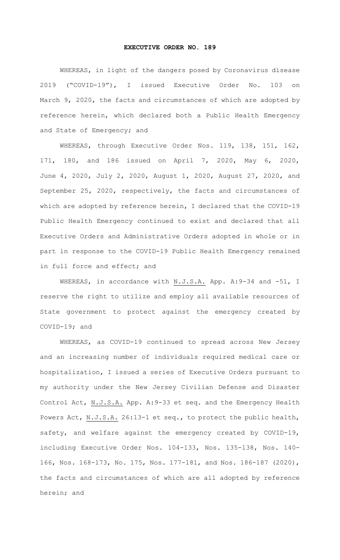## **EXECUTIVE ORDER NO. 189**

 WHEREAS, in light of the dangers posed by Coronavirus disease 2019 ("COVID-19"), I issued Executive Order No. 103 on March 9, 2020, the facts and circumstances of which are adopted by reference herein, which declared both a Public Health Emergency and State of Emergency; and

 WHEREAS, through Executive Order Nos. 119, 138, 151, 162, 171, 180, and 186 issued on April 7, 2020, May 6, 2020, June 4, 2020, July 2, 2020, August 1, 2020, August 27, 2020, and September 25, 2020, respectively, the facts and circumstances of which are adopted by reference herein, I declared that the COVID-19 Public Health Emergency continued to exist and declared that all Executive Orders and Administrative Orders adopted in whole or in part in response to the COVID-19 Public Health Emergency remained in full force and effect; and

WHEREAS, in accordance with N.J.S.A. App. A: 9-34 and -51, I reserve the right to utilize and employ all available resources of State government to protect against the emergency created by COVID-19; and

 WHEREAS, as COVID-19 continued to spread across New Jersey and an increasing number of individuals required medical care or hospitalization, I issued a series of Executive Orders pursuant to my authority under the New Jersey Civilian Defense and Disaster Control Act, N.J.S.A. App. A:9-33 et seq. and the Emergency Health Powers Act, N.J.S.A. 26:13-1 et seq., to protect the public health, safety, and welfare against the emergency created by COVID-19, including Executive Order Nos. 104-133, Nos. 135-138, Nos. 140- 166, Nos. 168-173, No. 175, Nos. 177-181, and Nos. 186-187 (2020), the facts and circumstances of which are all adopted by reference herein; and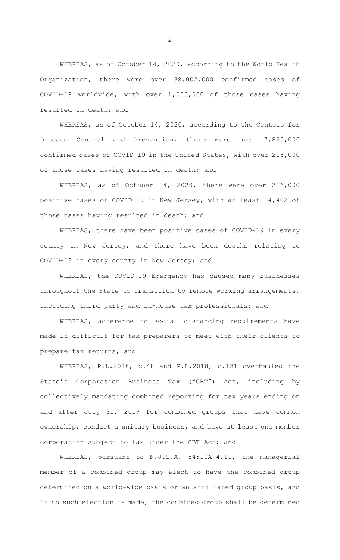WHEREAS, as of October 14, 2020, according to the World Health Organization, there were over 38,002,000 confirmed cases of COVID-19 worldwide, with over 1,083,000 of those cases having resulted in death; and

 WHEREAS, as of October 14, 2020, according to the Centers for Disease Control and Prevention, there were over 7,835,000 confirmed cases of COVID-19 in the United States, with over 215,000 of those cases having resulted in death; and

 WHEREAS, as of October 14, 2020, there were over 216,000 positive cases of COVID-19 in New Jersey, with at least 14,402 of those cases having resulted in death; and

 WHEREAS, there have been positive cases of COVID-19 in every county in New Jersey, and there have been deaths relating to COVID-19 in every county in New Jersey; and

 WHEREAS, the COVID-19 Emergency has caused many businesses throughout the State to transition to remote working arrangements, including third party and in-house tax professionals; and

 WHEREAS, adherence to social distancing requirements have made it difficult for tax preparers to meet with their clients to prepare tax returns; and

 WHEREAS, P.L.2018, c.48 and P.L.2018, c.131 overhauled the State's Corporation Business Tax ("CBT") Act, including by collectively mandating combined reporting for tax years ending on and after July 31, 2019 for combined groups that have common ownership, conduct a unitary business, and have at least one member corporation subject to tax under the CBT Act; and

WHEREAS, pursuant to N.J.S.A. 54:10A-4.11, the managerial member of a combined group may elect to have the combined group determined on a world-wide basis or an affiliated group basis, and if no such election is made, the combined group shall be determined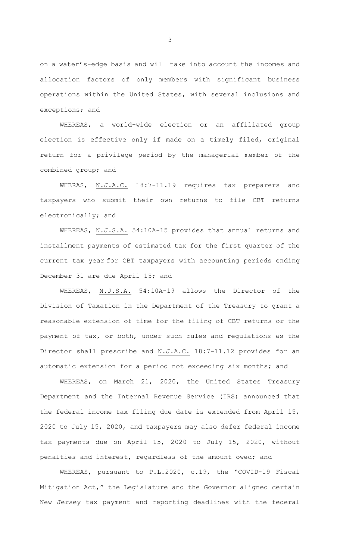on a water's-edge basis and will take into account the incomes and allocation factors of only members with significant business operations within the United States, with several inclusions and exceptions; and

 WHEREAS, a world-wide election or an affiliated group election is effective only if made on a timely filed, original return for a privilege period by the managerial member of the combined group; and

WHERAS, N.J.A.C. 18:7-11.19 requires tax preparers and taxpayers who submit their own returns to file CBT returns electronically; and

 WHEREAS, N.J.S.A. 54:10A-15 provides that annual returns and installment payments of estimated tax for the first quarter of the current tax year for CBT taxpayers with accounting periods ending December 31 are due April 15; and

 WHEREAS, N.J.S.A. 54:10A-19 allows the Director of the Division of Taxation in the Department of the Treasury to grant a reasonable extension of time for the filing of CBT returns or the payment of tax, or both, under such rules and regulations as the Director shall prescribe and N.J.A.C. 18:7-11.12 provides for an automatic extension for a period not exceeding six months; and

 WHEREAS, on March 21, 2020, the United States Treasury Department and the Internal Revenue Service (IRS) announced that the federal income tax filing due date is extended from April 15, 2020 to July 15, 2020, and taxpayers may also defer federal income tax payments due on April 15, 2020 to July 15, 2020, without penalties and interest, regardless of the amount owed; and

 WHEREAS, pursuant to P.L.2020, c.19, the "COVID-19 Fiscal Mitigation Act," the Legislature and the Governor aligned certain New Jersey tax payment and reporting deadlines with the federal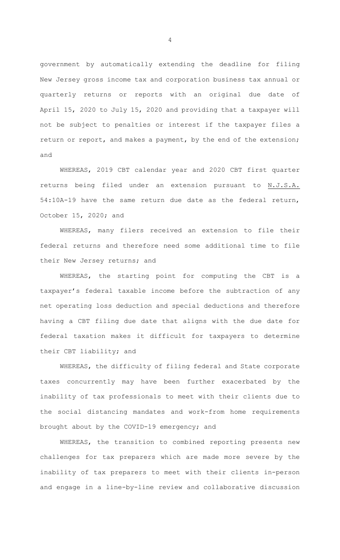government by automatically extending the deadline for filing New Jersey gross income tax and corporation business tax annual or quarterly returns or reports with an original due date of April 15, 2020 to July 15, 2020 and providing that a taxpayer will not be subject to penalties or interest if the taxpayer files a return or report, and makes a payment, by the end of the extension; and

 WHEREAS, 2019 CBT calendar year and 2020 CBT first quarter returns being filed under an extension pursuant to N.J.S.A. 54:10A-19 have the same return due date as the federal return, October 15, 2020; and

 WHEREAS, many filers received an extension to file their federal returns and therefore need some additional time to file their New Jersey returns; and

 WHEREAS, the starting point for computing the CBT is a taxpayer's federal taxable income before the subtraction of any net operating loss deduction and special deductions and therefore having a CBT filing due date that aligns with the due date for federal taxation makes it difficult for taxpayers to determine their CBT liability; and

 WHEREAS, the difficulty of filing federal and State corporate taxes concurrently may have been further exacerbated by the inability of tax professionals to meet with their clients due to the social distancing mandates and work-from home requirements brought about by the COVID-19 emergency; and

 WHEREAS, the transition to combined reporting presents new challenges for tax preparers which are made more severe by the inability of tax preparers to meet with their clients in-person and engage in a line-by-line review and collaborative discussion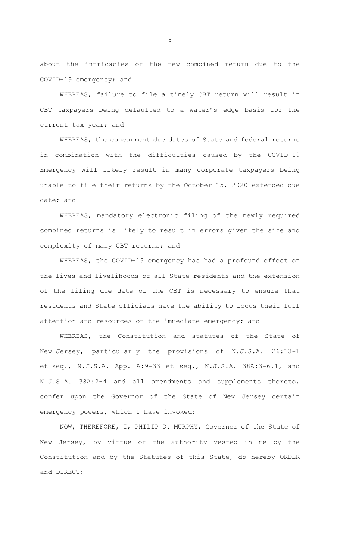about the intricacies of the new combined return due to the COVID-19 emergency; and

 WHEREAS, failure to file a timely CBT return will result in CBT taxpayers being defaulted to a water's edge basis for the current tax year; and

 WHEREAS, the concurrent due dates of State and federal returns in combination with the difficulties caused by the COVID-19 Emergency will likely result in many corporate taxpayers being unable to file their returns by the October 15, 2020 extended due date; and

 WHEREAS, mandatory electronic filing of the newly required combined returns is likely to result in errors given the size and complexity of many CBT returns; and

 WHEREAS, the COVID-19 emergency has had a profound effect on the lives and livelihoods of all State residents and the extension of the filing due date of the CBT is necessary to ensure that residents and State officials have the ability to focus their full attention and resources on the immediate emergency; and

 WHEREAS, the Constitution and statutes of the State of New Jersey, particularly the provisions of N.J.S.A. 26:13-1 et seq., N.J.S.A. App. A: 9-33 et seq., N.J.S.A. 38A: 3-6.1, and N.J.S.A. 38A:2-4 and all amendments and supplements thereto, confer upon the Governor of the State of New Jersey certain emergency powers, which I have invoked;

 NOW, THEREFORE, I, PHILIP D. MURPHY, Governor of the State of New Jersey, by virtue of the authority vested in me by the Constitution and by the Statutes of this State, do hereby ORDER and DIRECT: